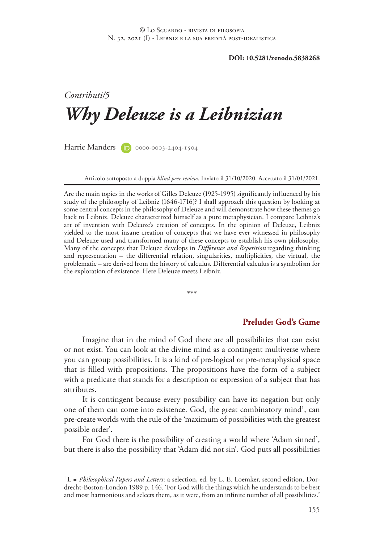**DOI: 10.5281/zenodo.5838268**

# *Contributi/5 Why Deleuze is a Leibnizian*

Harrie Manders (D) 0000-0003-2404-1504

Articolo sottoposto a doppia *blind peer review*. Inviato il 31/10/2020. Accettato il 31/01/2021.

Are the main topics in the works of Gilles Deleuze (1925-1995) significantly influenced by his study of the philosophy of Leibniz (1646-1716)? I shall approach this question by looking at some central concepts in the philosophy of Deleuze and will demonstrate how these themes go back to Leibniz. Deleuze characterized himself as a pure metaphysician. I compare Leibniz's art of invention with Deleuze's creation of concepts. In the opinion of Deleuze, Leibniz yielded to the most insane creation of concepts that we have ever witnessed in philosophy and Deleuze used and transformed many of these concepts to establish his own philosophy. Many of the concepts that Deleuze develops in *Difference and Repetition* regarding thinking and representation – the differential relation, singularities, multiplicities, the virtual, the problematic – are derived from the history of calculus. Differential calculus is a symbolism for the exploration of existence. Here Deleuze meets Leibniz.

\*\*\*

#### **Prelude: God's Game**

Imagine that in the mind of God there are all possibilities that can exist or not exist. You can look at the divine mind as a contingent multiverse where you can group possibilities. It is a kind of pre-logical or pre-metaphysical space that is filled with propositions. The propositions have the form of a subject with a predicate that stands for a description or expression of a subject that has attributes.

It is contingent because every possibility can have its negation but only one of them can come into existence. God, the great combinatory mind<sup>1</sup>, can pre-create worlds with the rule of the 'maximum of possibilities with the greatest possible order'.

For God there is the possibility of creating a world where 'Adam sinned', but there is also the possibility that 'Adam did not sin'. God puts all possibilities

<sup>1</sup> L = *Philosophical Papers and Letters*: a selection, ed. by L. E. Loemker, second edition, Dordrecht-Boston-London 1989 p. 146. 'For God wills the things which he understands to be best and most harmonious and selects them, as it were, from an infinite number of all possibilities.'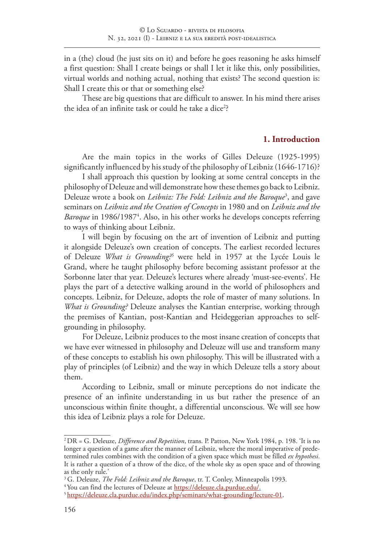in a (the) cloud (he just sits on it) and before he goes reasoning he asks himself a first question: Shall I create beings or shall I let it like this, only possibilities, virtual worlds and nothing actual, nothing that exists? The second question is: Shall I create this or that or something else?

These are big questions that are difficult to answer. In his mind there arises the idea of an infinite task or could he take a dice<sup>2</sup>?

#### **1. Introduction**

Are the main topics in the works of Gilles Deleuze (1925-1995) significantly influenced by his study of the philosophy of Leibniz (1646-1716)?

I shall approach this question by looking at some central concepts in the philosophy of Deleuze and will demonstrate how these themes go back to Leibniz. Deleuze wrote a book on *Leibniz: The Fold: Leibniz and the Baroque*<sup>3</sup> , and gave seminars on *Leibniz and the Creation of Concepts* in 1980 and on *Leibniz and the*  Baroque in 1986/1987<sup>4</sup>. Also, in his other works he develops concepts referring to ways of thinking about Leibniz.

I will begin by focusing on the art of invention of Leibniz and putting it alongside Deleuze's own creation of concepts. The earliest recorded lectures of Deleuze *What is Grounding?5* were held in 1957 at the Lycée Louis le Grand, where he taught philosophy before becoming assistant professor at the Sorbonne later that year. Deleuze's lectures where already 'must-see-events'. He plays the part of a detective walking around in the world of philosophers and concepts. Leibniz, for Deleuze, adopts the role of master of many solutions. In *What is Grounding?* Deleuze analyses the Kantian enterprise, working through the premises of Kantian, post-Kantian and Heideggerian approaches to selfgrounding in philosophy.

For Deleuze, Leibniz produces to the most insane creation of concepts that we have ever witnessed in philosophy and Deleuze will use and transform many of these concepts to establish his own philosophy. This will be illustrated with a play of principles (of Leibniz) and the way in which Deleuze tells a story about them.

According to Leibniz, small or minute perceptions do not indicate the presence of an infinite understanding in us but rather the presence of an unconscious within finite thought, a differential unconscious. We will see how this idea of Leibniz plays a role for Deleuze.

<sup>2</sup> DR = G. Deleuze, *Difference and Repetition*, trans. P. Patton, New York 1984, p. 198. 'It is no longer a question of a game after the manner of Leibniz, where the moral imperative of predetermined rules combines with the condition of a given space which must be filled *ex hypothesi*. It is rather a question of a throw of the dice, of the whole sky as open space and of throwing as the only rule.'

<sup>3</sup> G. Deleuze, *The Fold: Leibniz and the Baroque*, tr. T. Conley, Minneapolis 1993.

<sup>&</sup>lt;sup>4</sup> You can find the lectures of Deleuze at https://deleuze.cla.purdue.edu/.

<sup>&</sup>lt;sup>5</sup> https://deleuze.cla.purdue.edu/index.php/seminars/what-grounding/lecture-01.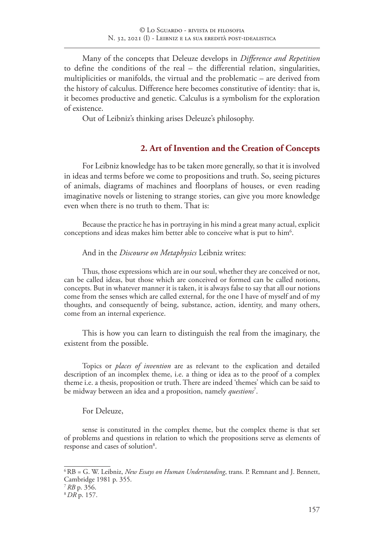Many of the concepts that Deleuze develops in *Difference and Repetition* to define the conditions of the real – the differential relation, singularities, multiplicities or manifolds, the virtual and the problematic – are derived from the history of calculus. Difference here becomes constitutive of identity: that is, it becomes productive and genetic. Calculus is a symbolism for the exploration of existence.

Out of Leibniz's thinking arises Deleuze's philosophy.

# **2. Art of Invention and the Creation of Concepts**

For Leibniz knowledge has to be taken more generally, so that it is involved in ideas and terms before we come to propositions and truth. So, seeing pictures of animals, diagrams of machines and floorplans of houses, or even reading imaginative novels or listening to strange stories, can give you more knowledge even when there is no truth to them. That is:

Because the practice he has in portraying in his mind a great many actual, explicit conceptions and ideas makes him better able to conceive what is put to  $\mathrm{him}^6$ .

And in the *Discourse on Metaphysics* Leibniz writes:

Thus, those expressions which are in our soul, whether they are conceived or not, can be called ideas, but those which are conceived or formed can be called notions, concepts. But in whatever manner it is taken, it is always false to say that all our notions come from the senses which are called external, for the one I have of myself and of my thoughts, and consequently of being, substance, action, identity, and many others, come from an internal experience.

This is how you can learn to distinguish the real from the imaginary, the existent from the possible.

Topics or *places of invention* are as relevant to the explication and detailed description of an incomplex theme, i.e. a thing or idea as to the proof of a complex theme i.e. a thesis, proposition or truth. There are indeed 'themes' which can be said to be midway between an idea and a proposition, namely *questions*<sup>7</sup> .

#### For Deleuze,

sense is constituted in the complex theme, but the complex theme is that set of problems and questions in relation to which the propositions serve as elements of response and cases of solution<sup>8</sup>.

<sup>6</sup> RB = G. W. Leibniz, *New Essays on Human Understanding*, trans. P. Remnant and J. Bennett, Cambridge 1981 p. 355.

<sup>7</sup> *RB* p. 356.

<sup>8</sup>*DR* p. 157.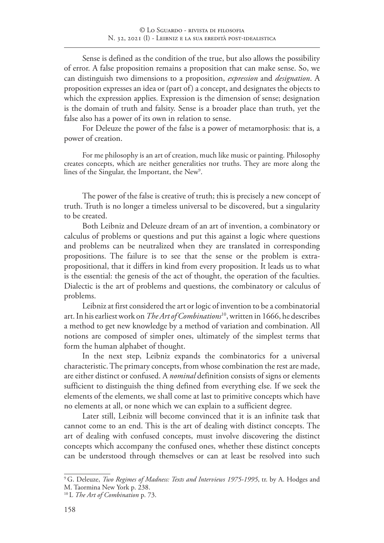Sense is defined as the condition of the true, but also allows the possibility of error. A false proposition remains a proposition that can make sense. So, we can distinguish two dimensions to a proposition, *expression* and *designation*. A proposition expresses an idea or (part of) a concept, and designates the objects to which the expression applies. Expression is the dimension of sense; designation is the domain of truth and falsity. Sense is a broader place than truth, yet the false also has a power of its own in relation to sense.

For Deleuze the power of the false is a power of metamorphosis: that is, a power of creation.

For me philosophy is an art of creation, much like music or painting. Philosophy creates concepts, which are neither generalities nor truths. They are more along the lines of the Singular, the Important, the New $^9$ .

The power of the false is creative of truth; this is precisely a new concept of truth. Truth is no longer a timeless universal to be discovered, but a singularity to be created.

Both Leibniz and Deleuze dream of an art of invention, a combinatory or calculus of problems or questions and put this against a logic where questions and problems can be neutralized when they are translated in corresponding propositions. The failure is to see that the sense or the problem is extrapropositional, that it differs in kind from every proposition. It leads us to what is the essential: the genesis of the act of thought, the operation of the faculties. Dialectic is the art of problems and questions, the combinatory or calculus of problems.

Leibniz at first considered the art or logic of invention to be a combinatorial art. In his earliest work on *The Art of Combinations*10, written in 1666, he describes a method to get new knowledge by a method of variation and combination. All notions are composed of simpler ones, ultimately of the simplest terms that form the human alphabet of thought.

In the next step, Leibniz expands the combinatorics for a universal characteristic. The primary concepts, from whose combination the rest are made, are either distinct or confused. A *nominal* definition consists of signs or elements sufficient to distinguish the thing defined from everything else. If we seek the elements of the elements, we shall come at last to primitive concepts which have no elements at all, or none which we can explain to a sufficient degree.

Later still, Leibniz will become convinced that it is an infinite task that cannot come to an end. This is the art of dealing with distinct concepts. The art of dealing with confused concepts, must involve discovering the distinct concepts which accompany the confused ones, whether these distinct concepts can be understood through themselves or can at least be resolved into such

<sup>&</sup>lt;sup>9</sup> G. Deleuze, *Two Regimes of Madness: Texts and Interviews 1975-1995*, tr. by A. Hodges and M. Taormina New York p. 238.

<sup>10</sup> L *The Art of Combination* p. 73.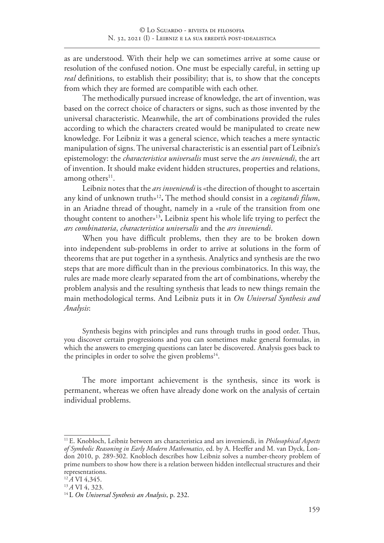as are understood. With their help we can sometimes arrive at some cause or resolution of the confused notion. One must be especially careful, in setting up *real* definitions, to establish their possibility; that is, to show that the concepts from which they are formed are compatible with each other.

The methodically pursued increase of knowledge, the art of invention, was based on the correct choice of characters or signs, such as those invented by the universal characteristic. Meanwhile, the art of combinations provided the rules according to which the characters created would be manipulated to create new knowledge. For Leibniz it was a general science, which teaches a mere syntactic manipulation of signs. The universal characteristic is an essential part of Leibniz's epistemology: the *characteristica universalis* must serve the *ars inveniendi*, the art of invention. It should make evident hidden structures, properties and relations, among others $11$ .

Leibniz notes that the *ars inveniendi* is «the direction of thought to ascertain any kind of unknown truth»12**.** The method should consist in a *cogitandi filum*, in an Ariadne thread of thought, namely in a «rule of the transition from one thought content to another»13**.** Leibniz spent his whole life trying to perfect the *ars combinatoria*, *characteristica universalis* and the *ars inveniendi*.

When you have difficult problems, then they are to be broken down into independent sub-problems in order to arrive at solutions in the form of theorems that are put together in a synthesis. Analytics and synthesis are the two steps that are more difficult than in the previous combinatorics. In this way, the rules are made more clearly separated from the art of combinations, whereby the problem analysis and the resulting synthesis that leads to new things remain the main methodological terms. And Leibniz puts it in *On Universal Synthesis and Analysis*:

Synthesis begins with principles and runs through truths in good order. Thus, you discover certain progressions and you can sometimes make general formulas, in which the answers to emerging questions can later be discovered. Analysis goes back to the principles in order to solve the given problems<sup>14</sup>.

The more important achievement is the synthesis, since its work is permanent, whereas we often have already done work on the analysis of certain individual problems.

<sup>11</sup> E. Knobloch, Leibniz between ars characteristica and ars inveniendi, in *Philosophical Aspects of Symbolic Reasoning in Early Modern Mathematics*, ed. by A. Heeffer and M. van Dyck, London 2010, p. 289-302. Knobloch describes how Leibniz solves a number-theory problem of prime numbers to show how there is a relation between hidden intellectual structures and their representations.

<sup>12</sup>*A* VI 4,345.

<sup>13</sup>*A* VI 4, 323.

<sup>14</sup> L *On Universal Synthesis an Analysis*, p. 232.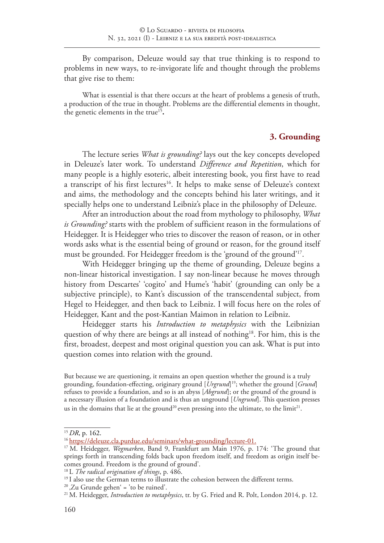By comparison, Deleuze would say that true thinking is to respond to problems in new ways, to re-invigorate life and thought through the problems that give rise to them:

What is essential is that there occurs at the heart of problems a genesis of truth, a production of the true in thought. Problems are the differential elements in thought, the genetic elements in the true<sup>15</sup>.

#### **3. Grounding**

The lecture series *What is grounding?* lays out the key concepts developed in Deleuze's later work. To understand *Difference and Repetition*, which for many people is a highly esoteric, albeit interesting book, you first have to read a transcript of his first lectures<sup>16</sup>. It helps to make sense of Deleuze's context and aims, the methodology and the concepts behind his later writings, and it specially helps one to understand Leibniz's place in the philosophy of Deleuze.

After an introduction about the road from mythology to philosophy, *What is Grounding?* starts with the problem of sufficient reason in the formulations of Heidegger. It is Heidegger who tries to discover the reason of reason, or in other words asks what is the essential being of ground or reason, for the ground itself must be grounded. For Heidegger freedom is the 'ground of the ground'17.

With Heidegger bringing up the theme of grounding, Deleuze begins a non-linear historical investigation. I say non-linear because he moves through history from Descartes' 'cogito' and Hume's 'habit' (grounding can only be a subjective principle), to Kant's discussion of the transcendental subject, from Hegel to Heidegger, and then back to Leibniz. I will focus here on the roles of Heidegger, Kant and the post-Kantian Maimon in relation to Leibniz.

Heidegger starts his *Introduction to metaphysics* with the Leibnizian question of why there are beings at all instead of nothing<sup>18</sup>. For him, this is the first, broadest, deepest and most original question you can ask. What is put into question comes into relation with the ground.

But because we are questioning, it remains an open question whether the ground is a truly grounding, foundation-effecting, originary ground [*Urgrund*] 19; whether the ground [*Grund*] refuses to provide a foundation, and so is an abyss [*Abgrund*]; or the ground of the ground is a necessary illusion of a foundation and is thus an unground [*Ungrund*]. This question presses us in the domains that lie at the ground<sup>20</sup> even pressing into the ultimate, to the limit<sup>21</sup>.

<sup>15</sup>*DR*, p. 162.

<sup>16</sup> https://deleuze.cla.purdue.edu/seminars/what-grounding/lecture-01.

<sup>&</sup>lt;sup>17</sup> M. Heidegger, *Wegmarken*, Band 9, Frankfurt am Main 1976, p. 174: 'The ground that springs forth in transcending folds back upon freedom itself, and freedom as origin itself becomes ground. Freedom is the ground of ground'.

<sup>18</sup> L *The radical origination of things*, p. 486.

<sup>&</sup>lt;sup>19</sup> I also use the German terms to illustrate the cohesion between the different terms.

 $20$ , Zu Grunde gehen' = 'to be ruined'.

<sup>21</sup> M. Heidegger, *Introduction to metaphysics*, tr. by G. Fried and R. Polt, London 2014, p. 12.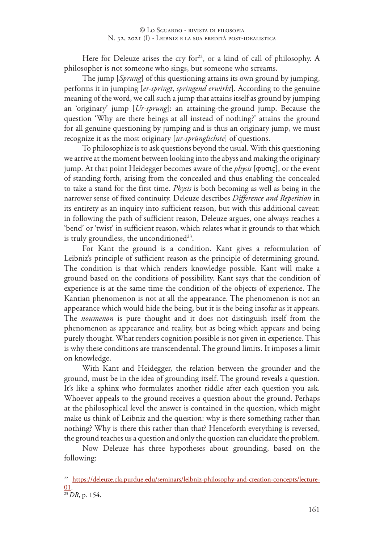Here for Deleuze arises the cry for $2^2$ , or a kind of call of philosophy. A philosopher is not someone who sings, but someone who screams.

The jump [*Sprung*] of this questioning attains its own ground by jumping, performs it in jumping [*er-springt*, *springend erwirkt*]. According to the genuine meaning of the word, we call such a jump that attains itself as ground by jumping an 'originary' jump [*Ur-sprung*]: an attaining-the-ground jump. Because the question 'Why are there beings at all instead of nothing?' attains the ground for all genuine questioning by jumping and is thus an originary jump, we must recognize it as the most originary [*ur-sprünglichste*] of questions.

To philosophize is to ask questions beyond the usual. With this questioning we arrive at the moment between looking into the abyss and making the originary jump. At that point Heidegger becomes aware of the *physis* [φυσις], or the event of standing forth, arising from the concealed and thus enabling the concealed to take a stand for the first time. *Physis* is both becoming as well as being in the narrower sense of fixed continuity. Deleuze describes *Difference and Repetition* in its entirety as an inquiry into sufficient reason, but with this additional caveat: in following the path of sufficient reason, Deleuze argues, one always reaches a 'bend' or 'twist' in sufficient reason, which relates what it grounds to that which is truly groundless, the unconditioned<sup>23</sup>.

For Kant the ground is a condition. Kant gives a reformulation of Leibniz's principle of sufficient reason as the principle of determining ground. The condition is that which renders knowledge possible. Kant will make a ground based on the conditions of possibility. Kant says that the condition of experience is at the same time the condition of the objects of experience. The Kantian phenomenon is not at all the appearance. The phenomenon is not an appearance which would hide the being, but it is the being insofar as it appears. The *noumenon* is pure thought and it does not distinguish itself from the phenomenon as appearance and reality, but as being which appears and being purely thought. What renders cognition possible is not given in experience. This is why these conditions are transcendental. The ground limits. It imposes a limit on knowledge.

With Kant and Heidegger, the relation between the grounder and the ground, must be in the idea of grounding itself. The ground reveals a question. It's like a sphinx who formulates another riddle after each question you ask. Whoever appeals to the ground receives a question about the ground. Perhaps at the philosophical level the answer is contained in the question, which might make us think of Leibniz and the question: why is there something rather than nothing? Why is there this rather than that? Henceforth everything is reversed, the ground teaches us a question and only the question can elucidate the problem.

Now Deleuze has three hypotheses about grounding, based on the following:

<sup>&</sup>lt;sup>22</sup> https://deleuze.cla.purdue.edu/seminars/leibniz-philosophy-and-creation-concepts/lecture-01.

<sup>23</sup>*DR*, p. 154.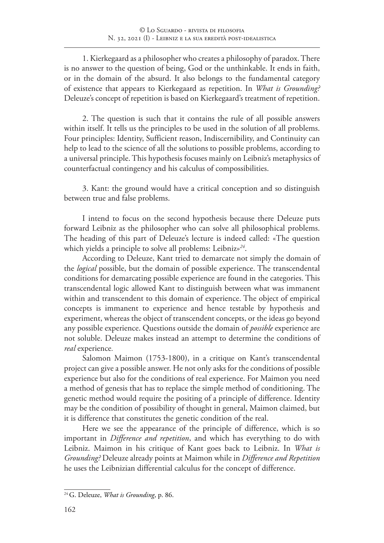1. Kierkegaard as a philosopher who creates a philosophy of paradox. There is no answer to the question of being, God or the unthinkable. It ends in faith, or in the domain of the absurd. It also belongs to the fundamental category of existence that appears to Kierkegaard as repetition. In *What is Grounding?* Deleuze's concept of repetition is based on Kierkegaard's treatment of repetition.

2. The question is such that it contains the rule of all possible answers within itself. It tells us the principles to be used in the solution of all problems. Four principles: Identity, Sufficient reason, Indiscernibility, and Continuity can help to lead to the science of all the solutions to possible problems, according to a universal principle. This hypothesis focuses mainly on Leibniz's metaphysics of counterfactual contingency and his calculus of compossibilities.

3. Kant: the ground would have a critical conception and so distinguish between true and false problems.

I intend to focus on the second hypothesis because there Deleuze puts forward Leibniz as the philosopher who can solve all philosophical problems. The heading of this part of Deleuze's lecture is indeed called: «The question which yields a principle to solve all problems: Leibniz»*<sup>24</sup>*.

According to Deleuze, Kant tried to demarcate not simply the domain of the *logical* possible, but the domain of possible experience. The transcendental conditions for demarcating possible experience are found in the categories. This transcendental logic allowed Kant to distinguish between what was immanent within and transcendent to this domain of experience. The object of empirical concepts is immanent to experience and hence testable by hypothesis and experiment, whereas the object of transcendent concepts, or the ideas go beyond any possible experience. Questions outside the domain of *possible* experience are not soluble. Deleuze makes instead an attempt to determine the conditions of *real* experience.

Salomon Maimon (1753-1800), in a critique on Kant's transcendental project can give a possible answer. He not only asks for the conditions of possible experience but also for the conditions of real experience. For Maimon you need a method of genesis that has to replace the simple method of conditioning. The genetic method would require the positing of a principle of difference. Identity may be the condition of possibility of thought in general, Maimon claimed, but it is difference that constitutes the genetic condition of the real.

Here we see the appearance of the principle of difference, which is so important in *Difference and repetition*, and which has everything to do with Leibniz. Maimon in his critique of Kant goes back to Leibniz. In *What is Grounding?* Deleuze already points at Maimon while in *Difference and Repetition* he uses the Leibnizian differential calculus for the concept of difference.

<sup>24</sup>G. Deleuze, *What is Grounding*, p. 86.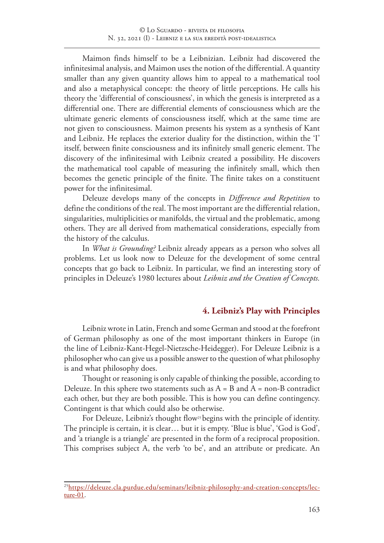Maimon finds himself to be a Leibnizian. Leibniz had discovered the infinitesimal analysis, and Maimon uses the notion of the differential. A quantity smaller than any given quantity allows him to appeal to a mathematical tool and also a metaphysical concept: the theory of little perceptions. He calls his theory the 'differential of consciousness', in which the genesis is interpreted as a differential one. There are differential elements of consciousness which are the ultimate generic elements of consciousness itself, which at the same time are not given to consciousness. Maimon presents his system as a synthesis of Kant and Leibniz. He replaces the exterior duality for the distinction, within the 'I' itself, between finite consciousness and its infinitely small generic element. The discovery of the infinitesimal with Leibniz created a possibility. He discovers the mathematical tool capable of measuring the infinitely small, which then becomes the genetic principle of the finite. The finite takes on a constituent power for the infinitesimal.

Deleuze develops many of the concepts in *Difference and Repetition* to define the conditions of the real. The most important are the differential relation, singularities, multiplicities or manifolds, the virtual and the problematic, among others. They are all derived from mathematical considerations, especially from the history of the calculus.

In *What is Grounding?* Leibniz already appears as a person who solves all problems. Let us look now to Deleuze for the development of some central concepts that go back to Leibniz. In particular, we find an interesting story of principles in Deleuze's 1980 lectures about *Leibniz and the Creation of Concepts.*

# **4. Leibniz's Play with Principles**

Leibniz wrote in Latin, French and some German and stood at the forefront of German philosophy as one of the most important thinkers in Europe (in the line of Leibniz-Kant-Hegel-Nietzsche-Heidegger). For Deleuze Leibniz is a philosopher who can give us a possible answer to the question of what philosophy is and what philosophy does.

Thought or reasoning is only capable of thinking the possible, according to Deleuze. In this sphere two statements such as  $A = B$  and  $A = non-B$  contradict each other, but they are both possible. This is how you can define contingency. Contingent is that which could also be otherwise.

For Deleuze, Leibniz's thought flow<sup>25</sup> begins with the principle of identity. The principle is certain, it is clear… but it is empty. 'Blue is blue', 'God is God', and 'a triangle is a triangle' are presented in the form of a reciprocal proposition. This comprises subject A, the verb 'to be', and an attribute or predicate. An

<sup>&</sup>lt;sup>25</sup>https://deleuze.cla.purdue.edu/seminars/leibniz-philosophy-and-creation-concepts/lecture-01.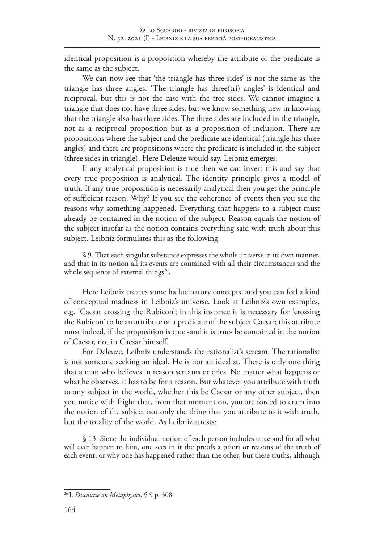identical proposition is a proposition whereby the attribute or the predicate is the same as the subject.

We can now see that 'the triangle has three sides' is not the same as 'the triangle has three angles. 'The triangle has three(tri) angles' is identical and reciprocal, but this is not the case with the tree sides. We cannot imagine a triangle that does not have three sides, but we know something new in knowing that the triangle also has three sides. The three sides are included in the triangle, not as a reciprocal proposition but as a proposition of inclusion. There are propositions where the subject and the predicate are identical (triangle has three angles) and there are propositions where the predicate is included in the subject (three sides in triangle). Here Deleuze would say, Leibniz emerges.

If any analytical proposition is true then we can invert this and say that every true proposition is analytical. The identity principle gives a model of truth. If any true proposition is necessarily analytical then you get the principle of sufficient reason. Why? If you see the coherence of events then you see the reasons why something happened. Everything that happens to a subject must already be contained in the notion of the subject. Reason equals the notion of the subject insofar as the notion contains everything said with truth about this subject. Leibniz formulates this as the following:

§ 9. That each singular substance expresses the whole universe in its own manner, and that in its notion all its events are contained with all their circumstances and the whole sequence of external things<sup>26</sup>.

Here Leibniz creates some hallucinatory concepts, and you can feel a kind of conceptual madness in Leibniz's universe. Look at Leibniz's own examples, e.g. 'Caesar crossing the Rubicon'; in this instance it is necessary for 'crossing the Rubicon' to be an attribute or a predicate of the subject Caesar; this attribute must indeed, if the proposition is true -and it is true- be contained in the notion of Caesar, not in Caesar himself.

For Deleuze, Leibniz understands the rationalist's scream. The rationalist is not someone seeking an ideal. He is not an idealist. There is only one thing that a man who believes in reason screams or cries. No matter what happens or what he observes, it has to be for a reason. But whatever you attribute with truth to any subject in the world, whether this be Caesar or any other subject, then you notice with fright that, from that moment on, you are forced to cram into the notion of the subject not only the thing that you attribute to it with truth, but the totality of the world. As Leibniz attests:

§ 13. Since the individual notion of each person includes once and for all what will ever happen to him, one sees in it the proofs a priori or reasons of the truth of each event, or why one has happened rather than the other; but these truths, although

<sup>26</sup> L *Discourse on Metaphysics,* § 9 p. 308.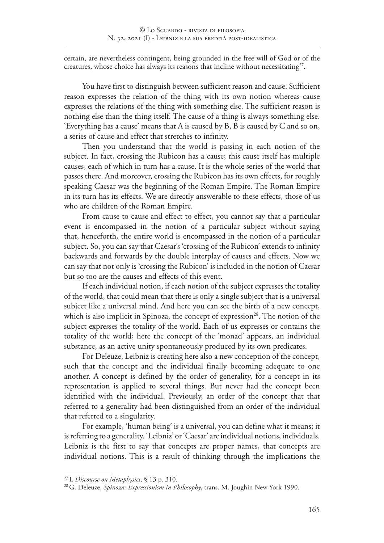certain, are nevertheless contingent, being grounded in the free will of God or of the creatures, whose choice has always its reasons that incline without necessitating<sup>27</sup>.

You have first to distinguish between sufficient reason and cause. Sufficient reason expresses the relation of the thing with its own notion whereas cause expresses the relations of the thing with something else. The sufficient reason is nothing else than the thing itself. The cause of a thing is always something else. 'Everything has a cause' means that A is caused by B, B is caused by C and so on, a series of cause and effect that stretches to infinity.

Then you understand that the world is passing in each notion of the subject. In fact, crossing the Rubicon has a cause; this cause itself has multiple causes, each of which in turn has a cause. It is the whole series of the world that passes there. And moreover, crossing the Rubicon has its own effects, for roughly speaking Caesar was the beginning of the Roman Empire. The Roman Empire in its turn has its effects. We are directly answerable to these effects, those of us who are children of the Roman Empire.

From cause to cause and effect to effect, you cannot say that a particular event is encompassed in the notion of a particular subject without saying that, henceforth, the entire world is encompassed in the notion of a particular subject. So, you can say that Caesar's 'crossing of the Rubicon' extends to infinity backwards and forwards by the double interplay of causes and effects. Now we can say that not only is 'crossing the Rubicon' is included in the notion of Caesar but so too are the causes and effects of this event.

If each individual notion, if each notion of the subject expresses the totality of the world, that could mean that there is only a single subject that is a universal subject like a universal mind. And here you can see the birth of a new concept, which is also implicit in Spinoza, the concept of expression<sup>28</sup>. The notion of the subject expresses the totality of the world. Each of us expresses or contains the totality of the world; here the concept of the 'monad' appears, an individual substance, as an active unity spontaneously produced by its own predicates.

For Deleuze, Leibniz is creating here also a new conception of the concept, such that the concept and the individual finally becoming adequate to one another. A concept is defined by the order of generality, for a concept in its representation is applied to several things. But never had the concept been identified with the individual. Previously, an order of the concept that that referred to a generality had been distinguished from an order of the individual that referred to a singularity.

For example, 'human being' is a universal, you can define what it means; it is referring to a generality. 'Leibniz' or 'Caesar' are individual notions, individuals. Leibniz is the first to say that concepts are proper names, that concepts are individual notions. This is a result of thinking through the implications the

<sup>27</sup> L *Discourse on Metaphysics*, § 13 p. 310.

<sup>28</sup> G. Deleuze, *Spinoza: Expressionism in Philosophy*, trans. M. Joughin New York 1990.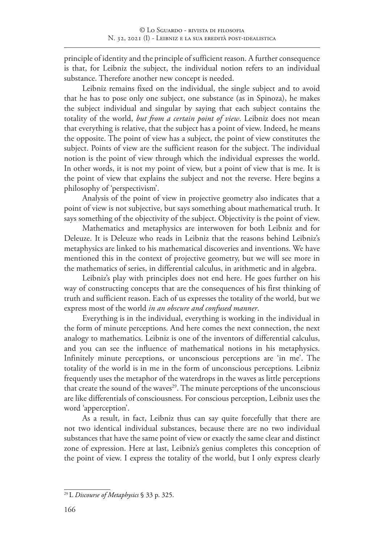principle of identity and the principle of sufficient reason. A further consequence is that, for Leibniz the subject, the individual notion refers to an individual substance. Therefore another new concept is needed.

Leibniz remains fixed on the individual, the single subject and to avoid that he has to pose only one subject, one substance (as in Spinoza), he makes the subject individual and singular by saying that each subject contains the totality of the world, *but from a certain point of view*. Leibniz does not mean that everything is relative, that the subject has a point of view. Indeed, he means the opposite. The point of view has a subject, the point of view constitutes the subject. Points of view are the sufficient reason for the subject. The individual notion is the point of view through which the individual expresses the world. In other words, it is not my point of view, but a point of view that is me. It is the point of view that explains the subject and not the reverse. Here begins a philosophy of 'perspectivism'.

Analysis of the point of view in projective geometry also indicates that a point of view is not subjective, but says something about mathematical truth. It says something of the objectivity of the subject. Objectivity is the point of view.

Mathematics and metaphysics are interwoven for both Leibniz and for Deleuze. It is Deleuze who reads in Leibniz that the reasons behind Leibniz's metaphysics are linked to his mathematical discoveries and inventions. We have mentioned this in the context of projective geometry, but we will see more in the mathematics of series, in differential calculus, in arithmetic and in algebra.

Leibniz's play with principles does not end here. He goes further on his way of constructing concepts that are the consequences of his first thinking of truth and sufficient reason. Each of us expresses the totality of the world, but we express most of the world *in an obscure and confused manner*.

Everything is in the individual, everything is working in the individual in the form of minute perceptions. And here comes the next connection, the next analogy to mathematics. Leibniz is one of the inventors of differential calculus, and you can see the influence of mathematical notions in his metaphysics. Infinitely minute perceptions, or unconscious perceptions are 'in me'. The totality of the world is in me in the form of unconscious perceptions. Leibniz frequently uses the metaphor of the waterdrops in the waves as little perceptions that create the sound of the waves $^{29}$ . The minute perceptions of the unconscious are like differentials of consciousness. For conscious perception, Leibniz uses the word 'apperception'.

As a result, in fact, Leibniz thus can say quite forcefully that there are not two identical individual substances, because there are no two individual substances that have the same point of view or exactly the same clear and distinct zone of expression. Here at last, Leibniz's genius completes this conception of the point of view. I express the totality of the world, but I only express clearly

<sup>29</sup> L *Discourse of Metaphysics* § 33 p. 325.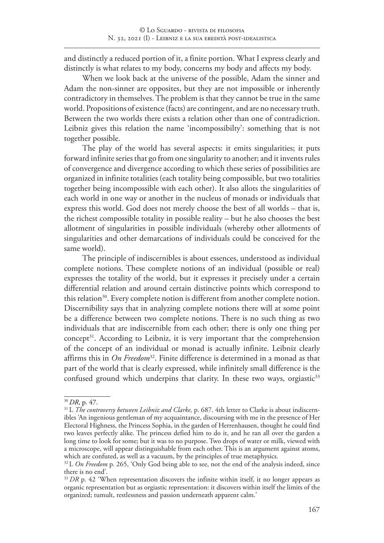and distinctly a reduced portion of it, a finite portion. What I express clearly and distinctly is what relates to my body, concerns my body and affects my body.

When we look back at the universe of the possible, Adam the sinner and Adam the non-sinner are opposites, but they are not impossible or inherently contradictory in themselves. The problem is that they cannot be true in the same world. Propositions of existence (facts) are contingent, and are no necessary truth. Between the two worlds there exists a relation other than one of contradiction. Leibniz gives this relation the name 'incompossibilty': something that is not together possible.

The play of the world has several aspects: it emits singularities; it puts forward infinite series that go from one singularity to another; and it invents rules of convergence and divergence according to which these series of possibilities are organized in infinite totalities (each totality being compossible, but two totalities together being incompossible with each other). It also allots the singularities of each world in one way or another in the nucleus of monads or individuals that express this world. God does not merely choose the best of all worlds – that is, the richest compossible totality in possible reality – but he also chooses the best allotment of singularities in possible individuals (whereby other allotments of singularities and other demarcations of individuals could be conceived for the same world).

The principle of indiscernibles is about essences, understood as individual complete notions. These complete notions of an individual (possible or real) expresses the totality of the world, but it expresses it precisely under a certain differential relation and around certain distinctive points which correspond to this relation<sup>30</sup>. Every complete notion is different from another complete notion. Discernibility says that in analyzing complete notions there will at some point be a difference between two complete notions. There is no such thing as two individuals that are indiscernible from each other; there is only one thing per concept<sup>31</sup>. According to Leibniz, it is very important that the comprehension of the concept of an individual or monad is actually infinite. Leibniz clearly affirms this in *On Freedom*32. Finite difference is determined in a monad as that part of the world that is clearly expressed, while infinitely small difference is the confused ground which underpins that clarity. In these two ways, orgiastic<sup>33</sup>

<sup>30</sup>*DR*, p. 47.

<sup>&</sup>lt;sup>31</sup> L *The controversy between Leibniz and Clarke*, p. 687. 4th letter to Clarke is about indiscernibles 'An ingenious gentleman of my acquaintance, discoursing with me in the presence of Her Electoral Highness, the Princess Sophia, in the garden of Herrenhausen, thought he could find two leaves perfectly alike. The princess defied him to do it, and he ran all over the garden a long time to look for some; but it was to no purpose. Two drops of water or milk, viewed with a microscope, will appear distinguishable from each other. This is an argument against atoms, which are confuted, as well as a vacuum, by the principles of true metaphysics.

<sup>&</sup>lt;sup>32</sup> L *On Freedom* p. 265, 'Only God being able to see, not the end of the analysis indeed, since there is no end'.

<sup>&</sup>lt;sup>33</sup> DR p. 42 'When representation discovers the infinite within itself, it no longer appears as organic representation but as orgiastic representation: it discovers within itself the limits of the organized; tumult, restlessness and passion underneath apparent calm.'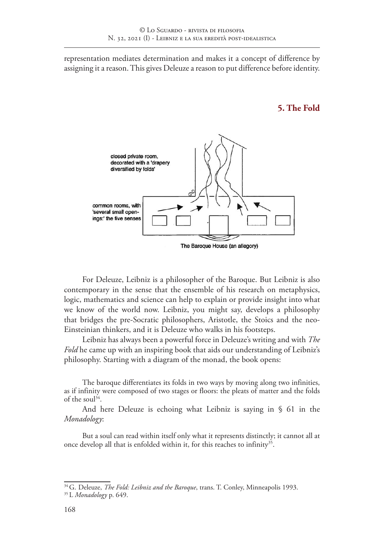representation mediates determination and makes it a concept of difference by assigning it a reason. This gives Deleuze a reason to put difference before identity.

**5. The Fold**



For Deleuze, Leibniz is a philosopher of the Baroque. But Leibniz is also contemporary in the sense that the ensemble of his research on metaphysics, logic, mathematics and science can help to explain or provide insight into what we know of the world now. Leibniz, you might say, develops a philosophy that bridges the pre-Socratic philosophers, Aristotle, the Stoics and the neo-Einsteinian thinkers, and it is Deleuze who walks in his footsteps.

Leibniz has always been a powerful force in Deleuze's writing and with *The Fold* he came up with an inspiring book that aids our understanding of Leibniz's philosophy. Starting with a diagram of the monad, the book opens:

The baroque differentiates its folds in two ways by moving along two infinities, as if infinity were composed of two stages or floors: the pleats of matter and the folds of the soul<sup>34</sup>.

And here Deleuze is echoing what Leibniz is saying in § 61 in the *Monadology*:

But a soul can read within itself only what it represents distinctly; it cannot all at once develop all that is enfolded within it, for this reaches to infinity<sup>35</sup>.

<sup>34</sup> G. Deleuze, *The Fold: Leibniz and the Baroque*, trans. T. Conley, Minneapolis 1993.

<sup>35</sup> L *Monadology* p. 649.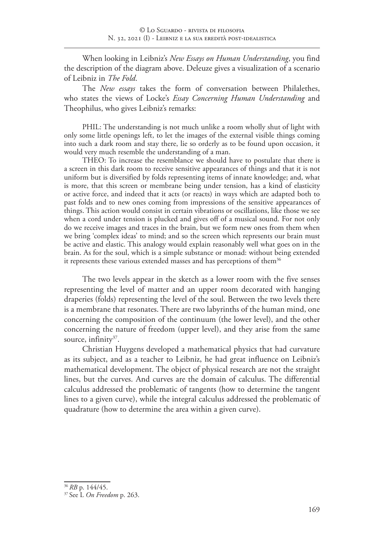When looking in Leibniz's *New Essays on Human Understanding*, you find the description of the diagram above. Deleuze gives a visualization of a scenario of Leibniz in *The Fold*.

The *New essays* takes the form of conversation between Philalethes, who states the views of Locke's *Essay Concerning Human Understanding* and Theophilus, who gives Leibniz's remarks:

PHIL: The understanding is not much unlike a room wholly shut of light with only some little openings left, to let the images of the external visible things coming into such a dark room and stay there, lie so orderly as to be found upon occasion, it would very much resemble the understanding of a man.

THEO: To increase the resemblance we should have to postulate that there is a screen in this dark room to receive sensitive appearances of things and that it is not uniform but is diversified by folds representing items of innate knowledge; and, what is more, that this screen or membrane being under tension, has a kind of elasticity or active force, and indeed that it acts (or reacts) in ways which are adapted both to past folds and to new ones coming from impressions of the sensitive appearances of things. This action would consist in certain vibrations or oscillations, like those we see when a cord under tension is plucked and gives off of a musical sound. For not only do we receive images and traces in the brain, but we form new ones from them when we bring 'complex ideas' to mind; and so the screen which represents our brain must be active and elastic. This analogy would explain reasonably well what goes on in the brain. As for the soul, which is a simple substance or monad: without being extended it represents these various extended masses and has perceptions of them<sup>36</sup>

The two levels appear in the sketch as a lower room with the five senses representing the level of matter and an upper room decorated with hanging draperies (folds) representing the level of the soul. Between the two levels there is a membrane that resonates. There are two labyrinths of the human mind, one concerning the composition of the continuum (the lower level), and the other concerning the nature of freedom (upper level), and they arise from the same source, infinity<sup>37</sup>.

Christian Huygens developed a mathematical physics that had curvature as its subject, and as a teacher to Leibniz, he had great influence on Leibniz's mathematical development. The object of physical research are not the straight lines, but the curves. And curves are the domain of calculus. The differential calculus addressed the problematic of tangents (how to determine the tangent lines to a given curve), while the integral calculus addressed the problematic of quadrature (how to determine the area within a given curve).

<sup>36</sup> *RB* p. 144/45.

<sup>37</sup> See L *On Freedom* p. 263.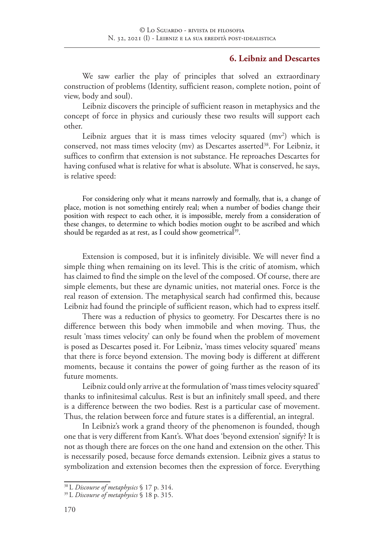### **6. Leibniz and Descartes**

We saw earlier the play of principles that solved an extraordinary construction of problems (Identity, sufficient reason, complete notion, point of view, body and soul).

Leibniz discovers the principle of sufficient reason in metaphysics and the concept of force in physics and curiously these two results will support each other.

Leibniz argues that it is mass times velocity squared  $(mv^2)$  which is conserved, not mass times velocity (mv) as Descartes asserted<sup>38</sup>. For Leibniz, it suffices to confirm that extension is not substance. He reproaches Descartes for having confused what is relative for what is absolute. What is conserved, he says, is relative speed:

For considering only what it means narrowly and formally, that is, a change of place, motion is not something entirely real; when a number of bodies change their position with respect to each other, it is impossible, merely from a consideration of these changes, to determine to which bodies motion ought to be ascribed and which should be regarded as at rest, as I could show geometrical<sup>39</sup>.

Extension is composed, but it is infinitely divisible. We will never find a simple thing when remaining on its level. This is the critic of atomism, which has claimed to find the simple on the level of the composed. Of course, there are simple elements, but these are dynamic unities, not material ones. Force is the real reason of extension. The metaphysical search had confirmed this, because Leibniz had found the principle of sufficient reason, which had to express itself.

There was a reduction of physics to geometry. For Descartes there is no difference between this body when immobile and when moving. Thus, the result 'mass times velocity' can only be found when the problem of movement is posed as Descartes posed it. For Leibniz, 'mass times velocity squared' means that there is force beyond extension. The moving body is different at different moments, because it contains the power of going further as the reason of its future moments.

Leibniz could only arrive at the formulation of 'mass times velocity squared' thanks to infinitesimal calculus. Rest is but an infinitely small speed, and there is a difference between the two bodies. Rest is a particular case of movement. Thus, the relation between force and future states is a differential, an integral.

In Leibniz's work a grand theory of the phenomenon is founded, though one that is very different from Kant's. What does 'beyond extension' signify? It is not as though there are forces on the one hand and extension on the other. This is necessarily posed, because force demands extension. Leibniz gives a status to symbolization and extension becomes then the expression of force. Everything

<sup>38</sup> L *Discourse of metaphysics* § 17 p. 314.

<sup>39</sup> L *Discourse of metaphysics* § 18 p. 315.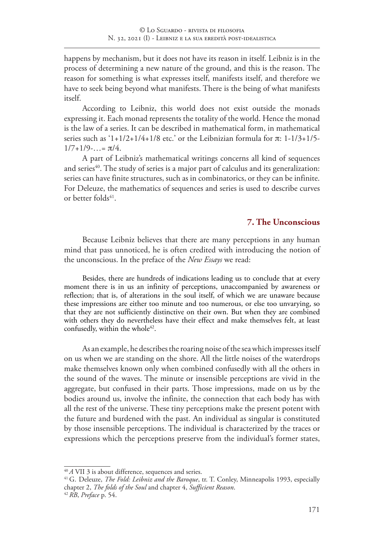happens by mechanism, but it does not have its reason in itself. Leibniz is in the process of determining a new nature of the ground, and this is the reason. The reason for something is what expresses itself, manifests itself, and therefore we have to seek being beyond what manifests. There is the being of what manifests itself.

According to Leibniz, this world does not exist outside the monads expressing it. Each monad represents the totality of the world. Hence the monad is the law of a series. It can be described in mathematical form, in mathematical series such as  $1+1/2+1/4+1/8$  etc.' or the Leibnizian formula for  $\pi$ : 1-1/3+1/5- $1/7+1/9$ -...=  $\pi/4$ .

A part of Leibniz's mathematical writings concerns all kind of sequences and series<sup>40</sup>. The study of series is a major part of calculus and its generalization: series can have finite structures, such as in combinatorics, or they can be infinite. For Deleuze, the mathematics of sequences and series is used to describe curves or better folds $41$ .

# **7. The Unconscious**

Because Leibniz believes that there are many perceptions in any human mind that pass unnoticed, he is often credited with introducing the notion of the unconscious. In the preface of the *New Essays* we read:

Besides, there are hundreds of indications leading us to conclude that at every moment there is in us an infinity of perceptions, unaccompanied by awareness or reflection; that is, of alterations in the soul itself, of which we are unaware because these impressions are either too minute and too numerous, or else too unvarying, so that they are not sufficiently distinctive on their own. But when they are combined with others they do nevertheless have their effect and make themselves felt, at least confusedly, within the whole<sup>42</sup>.

As an example, he describes the roaring noise of the sea which impresses itself on us when we are standing on the shore. All the little noises of the waterdrops make themselves known only when combined confusedly with all the others in the sound of the waves. The minute or insensible perceptions are vivid in the aggregate, but confused in their parts. Those impressions, made on us by the bodies around us, involve the infinite, the connection that each body has with all the rest of the universe. These tiny perceptions make the present potent with the future and burdened with the past. An individual as singular is constituted by those insensible perceptions. The individual is characterized by the traces or expressions which the perceptions preserve from the individual's former states,

<sup>40</sup>*A* VII 3 is about difference, sequences and series.

<sup>41</sup> G. Deleuze, *The Fold: Leibniz and the Baroque*, tr. T. Conley, Minneapolis 1993, especially chapter 2, *The folds of the Soul* and chapter 4, *Sufficient Reason*. <sup>42</sup> *RB*, *Preface* p. 54.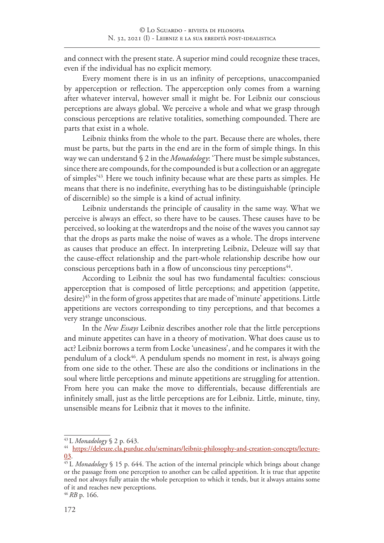and connect with the present state. A superior mind could recognize these traces, even if the individual has no explicit memory.

Every moment there is in us an infinity of perceptions, unaccompanied by apperception or reflection. The apperception only comes from a warning after whatever interval, however small it might be. For Leibniz our conscious perceptions are always global. We perceive a whole and what we grasp through conscious perceptions are relative totalities, something compounded. There are parts that exist in a whole.

Leibniz thinks from the whole to the part. Because there are wholes, there must be parts, but the parts in the end are in the form of simple things. In this way we can understand § 2 in the *Monadology*: 'There must be simple substances, since there are compounds, for the compounded is but a collection or an aggregate of simples'43. Here we touch infinity because what are these parts as simples. He means that there is no indefinite, everything has to be distinguishable (principle of discernible) so the simple is a kind of actual infinity.

Leibniz understands the principle of causality in the same way. What we perceive is always an effect, so there have to be causes. These causes have to be perceived, so looking at the waterdrops and the noise of the waves you cannot say that the drops as parts make the noise of waves as a whole. The drops intervene as causes that produce an effect. In interpreting Leibniz, Deleuze will say that the cause-effect relationship and the part-whole relationship describe how our conscious perceptions bath in a flow of unconscious tiny perceptions<sup>44</sup>.

According to Leibniz the soul has two fundamental faculties: conscious apperception that is composed of little perceptions; and appetition (appetite, desire)<sup>45</sup> in the form of gross appetites that are made of 'minute' appetitions. Little appetitions are vectors corresponding to tiny perceptions, and that becomes a very strange unconscious.

In the *New Essays* Leibniz describes another role that the little perceptions and minute appetites can have in a theory of motivation. What does cause us to act? Leibniz borrows a term from Locke 'uneasiness', and he compares it with the pendulum of a clock46. A pendulum spends no moment in rest, is always going from one side to the other. These are also the conditions or inclinations in the soul where little perceptions and minute appetitions are struggling for attention. From here you can make the move to differentials, because differentials are infinitely small, just as the little perceptions are for Leibniz. Little, minute, tiny, unsensible means for Leibniz that it moves to the infinite.

<sup>43</sup> L *Monadology* § 2 p. 643.

<sup>44</sup> https://deleuze.cla.purdue.edu/seminars/leibniz-philosophy-and-creation-concepts/lecture-03.

<sup>45</sup> L *Monadology* § 15 p. 644. The action of the internal principle which brings about change or the passage from one perception to another can be called appetition. It is true that appetite need not always fully attain the whole perception to which it tends, but it always attains some of it and reaches new perceptions.

<sup>46</sup> *RB* p. 166.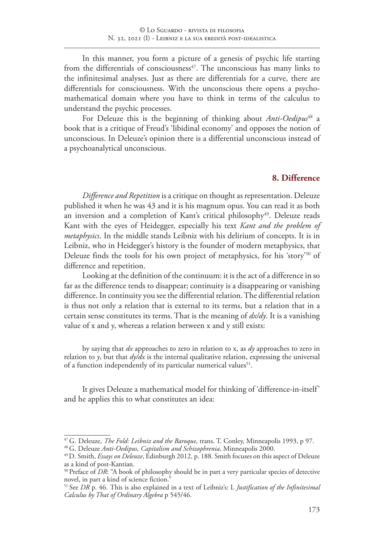In this manner, you form a picture of a genesis of psychic life starting from the differentials of consciousness<sup> $47$ </sup>. The unconscious has many links to the infinitesimal analyses. Just as there are differentials for a curve, there are differentials for consciousness. With the unconscious there opens a psychomathematical domain where you have to think in terms of the calculus to understand the psychic processes.

For Deleuze this is the beginning of thinking about *Anti-Oedipus*<sup>48</sup> a book that is a critique of Freud's 'libidinal economy' and opposes the notion of unconscious. In Deleuze's opinion there is a differential unconscious instead of a psychoanalytical unconscious.

#### **8. Difference**

*Difference and Repetition* is a critique on thought as representation. Deleuze published it when he was 43 and it is his magnum opus. You can read it as both an inversion and a completion of Kant's critical philosophy<sup>49</sup>. Deleuze reads Kant with the eyes of Heidegger, especially his text *Kant and the problem of metaphysics*. In the middle stands Leibniz with his delirium of concepts. It is in Leibniz, who in Heidegger's history is the founder of modern metaphysics, that Deleuze finds the tools for his own project of metaphysics, for his 'story'<sup>50</sup> of difference and repetition.

Looking at the definition of the continuum: it is the act of a difference in so far as the difference tends to disappear; continuity is a disappearing or vanishing difference. In continuity you see the differential relation. The differential relation is thus not only a relation that is external to its terms, but a relation that in a certain sense constitutes its terms. That is the meaning of *dx/dy*. It is a vanishing value of x and y, whereas a relation between x and y still exists:

by saying that *dx* approaches to zero in relation to x, as *dy* approaches to zero in relation to *y*, but that *dy/dx* is the internal qualitative relation, expressing the universal of a function independently of its particular numerical values<sup>51</sup>.

It gives Deleuze a mathematical model for thinking of 'difference-in-itself' and he applies this to what constitutes an idea:

<sup>47</sup> G. Deleuze, *The Fold: Leibniz and the Baroque*, trans. T. Conley, Minneapolis 1993, p 97.

<sup>48</sup> G. Deleuze *Anti-Oedipus, Capitalism and Schizophrenia*, Minneapolis 2000.

<sup>49</sup> D. Smith, *Essays on Deleuze*, Edinburgh 2012, p. 188. Smith focuses on this aspect of Deleuze as a kind of post-Kantian.

<sup>&</sup>lt;sup>50</sup> Preface of DR: "A book of philosophy should be in part a very particular species of detective novel, in part a kind of science fiction."

<sup>51</sup> See *DR* p. 46. This is also explained in a text of Leibniz's: L *Justification of the Infinitesimal Calculus by That of Ordinary Algebra* p 545/46.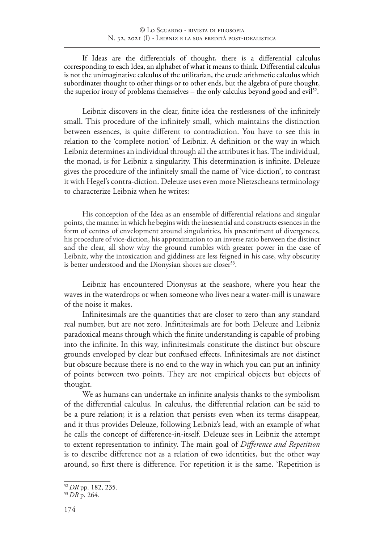If Ideas are the differentials of thought, there is a differential calculus corresponding to each Idea, an alphabet of what it means to think. Differential calculus is not the unimaginative calculus of the utilitarian, the crude arithmetic calculus which subordinates thought to other things or to other ends, but the algebra of pure thought, the superior irony of problems themselves – the only calculus beyond good and evil<sup>52</sup>.

Leibniz discovers in the clear, finite idea the restlessness of the infinitely small. This procedure of the infinitely small, which maintains the distinction between essences, is quite different to contradiction. You have to see this in relation to the 'complete notion' of Leibniz. A definition or the way in which Leibniz determines an individual through all the attributes it has. The individual, the monad, is for Leibniz a singularity. This determination is infinite. Deleuze gives the procedure of the infinitely small the name of 'vice-diction', to contrast it with Hegel's contra-diction. Deleuze uses even more Nietzscheans terminology to characterize Leibniz when he writes:

His conception of the Idea as an ensemble of differential relations and singular points, the manner in which he begins with the inessential and constructs essences in the form of centres of envelopment around singularities, his presentiment of divergences, his procedure of vice-diction, his approximation to an inverse ratio between the distinct and the clear, all show why the ground rumbles with greater power in the case of Leibniz, why the intoxication and giddiness are less feigned in his case, why obscurity is better understood and the Dionysian shores are closer<sup>53</sup>.

Leibniz has encountered Dionysus at the seashore, where you hear the waves in the waterdrops or when someone who lives near a water-mill is unaware of the noise it makes.

Infinitesimals are the quantities that are closer to zero than any standard real number, but are not zero. Infinitesimals are for both Deleuze and Leibniz paradoxical means through which the finite understanding is capable of probing into the infinite. In this way, infinitesimals constitute the distinct but obscure grounds enveloped by clear but confused effects. Infinitesimals are not distinct but obscure because there is no end to the way in which you can put an infinity of points between two points. They are not empirical objects but objects of thought.

We as humans can undertake an infinite analysis thanks to the symbolism of the differential calculus. In calculus, the differential relation can be said to be a pure relation; it is a relation that persists even when its terms disappear, and it thus provides Deleuze, following Leibniz's lead, with an example of what he calls the concept of difference-in-itself. Deleuze sees in Leibniz the attempt to extent representation to infinity. The main goal of *Difference and Repetition* is to describe difference not as a relation of two identities, but the other way around, so first there is difference. For repetition it is the same. 'Repetition is

<sup>52</sup>*DR* pp. 182, 235.

<sup>53</sup>*DR* p. 264.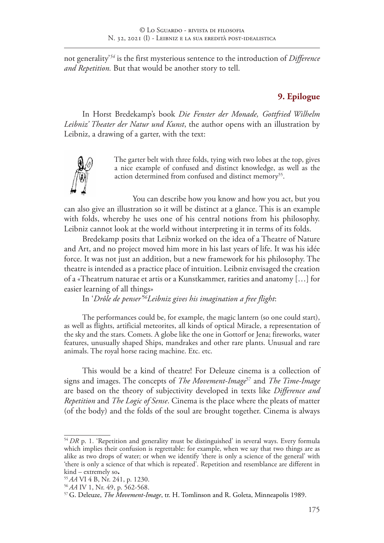not generality'*<sup>54</sup>* is the first mysterious sentence to the introduction of *Difference and Repetition.* But that would be another story to tell.

# **9. Epilogue**

In Horst Bredekamp's book *Die Fenster der Monade, Gottfried Wilhelm Leibniz' Theater der Natur und Kunst*, the author opens with an illustration by Leibniz, a drawing of a garter, with the text:



The garter belt with three folds, tying with two lobes at the top, gives a nice example of confused and distinct knowledge, as well as the action determined from confused and distinct memory<sup>55</sup>.

You can describe how you know and how you act, but you can also give an illustration so it will be distinct at a glance. This is an example with folds, whereby he uses one of his central notions from his philosophy. Leibniz cannot look at the world without interpreting it in terms of its folds.

Bredekamp posits that Leibniz worked on the idea of a Theatre of Nature and Art, and no project moved him more in his last years of life. It was his idée force. It was not just an addition, but a new framework for his philosophy. The theatre is intended as a practice place of intuition. Leibniz envisaged the creation of a «Theatrum naturae et artis or a Kunstkammer, rarities and anatomy […] for easier learning of all things»

In '*Drôle de penser'56Leibniz gives his imagination a free flight*:

The performances could be, for example, the magic lantern (so one could start), as well as flights, artificial meteorites, all kinds of optical Miracle, a representation of the sky and the stars. Comets. A globe like the one in Gottorf or Jena; fireworks, water features, unusually shaped Ships, mandrakes and other rare plants. Unusual and rare animals. The royal horse racing machine. Etc. etc.

This would be a kind of theatre! For Deleuze cinema is a collection of signs and images. The concepts of *The Movement-Image*<sup>57</sup> and *The Time-Image* are based on the theory of subjectivity developed in texts like *Difference and Repetition* and *The Logic of Sense*. Cinema is the place where the pleats of matter (of the body) and the folds of the soul are brought together. Cinema is always

<sup>&</sup>lt;sup>54</sup> *DR* p. 1. 'Repetition and generality must be distinguished' in several ways. Every formula which implies their confusion is regrettable: for example, when we say that two things are as alike as two drops of water; or when we identify 'there is only a science of the general' with 'there is only a science of that which is repeated'. Repetition and resemblance are different in kind – extremely so**.**

<sup>55</sup>*AA* VI 4 B, Nr. 241, p. 1230.

<sup>56</sup>*AA* IV 1, Nr. 49, p. 562-568.

<sup>57</sup>G. Deleuze, *The Movement-Image*, tr. H. Tomlinson and R. Goleta, Minneapolis 1989.